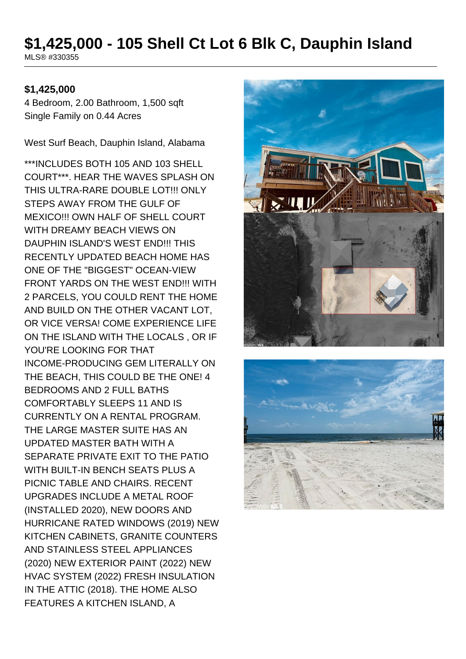# **\$1,425,000 - 105 Shell Ct Lot 6 Blk C, Dauphin Island**

MLS® #330355

#### **\$1,425,000**

4 Bedroom, 2.00 Bathroom, 1,500 sqft Single Family on 0.44 Acres

West Surf Beach, Dauphin Island, Alabama

\*\*\*INCLUDES BOTH 105 AND 103 SHELL COURT\*\*\*. HEAR THE WAVES SPLASH ON THIS ULTRA-RARE DOUBLE LOT!!! ONLY STEPS AWAY FROM THE GULF OF MEXICO!!! OWN HALF OF SHELL COURT WITH DREAMY BEACH VIEWS ON DAUPHIN ISLAND'S WEST END!!! THIS RECENTLY UPDATED BEACH HOME HAS ONE OF THE "BIGGEST" OCEAN-VIEW FRONT YARDS ON THE WEST END!!! WITH 2 PARCELS, YOU COULD RENT THE HOME AND BUILD ON THE OTHER VACANT LOT, OR VICE VERSA! COME EXPERIENCE LIFE ON THE ISLAND WITH THE LOCALS , OR IF YOU'RE LOOKING FOR THAT INCOME-PRODUCING GEM LITERALLY ON THE BEACH, THIS COULD BE THE ONE! 4 BEDROOMS AND 2 FULL BATHS COMFORTABLY SLEEPS 11 AND IS CURRENTLY ON A RENTAL PROGRAM. THE LARGE MASTER SUITE HAS AN UPDATED MASTER BATH WITH A SEPARATE PRIVATE EXIT TO THE PATIO WITH BUILT-IN BENCH SEATS PLUS A PICNIC TABLE AND CHAIRS. RECENT UPGRADES INCLUDE A METAL ROOF (INSTALLED 2020), NEW DOORS AND HURRICANE RATED WINDOWS (2019) NEW KITCHEN CABINETS, GRANITE COUNTERS AND STAINLESS STEEL APPLIANCES (2020) NEW EXTERIOR PAINT (2022) NEW HVAC SYSTEM (2022) FRESH INSULATION IN THE ATTIC (2018). THE HOME ALSO FEATURES A KITCHEN ISLAND, A



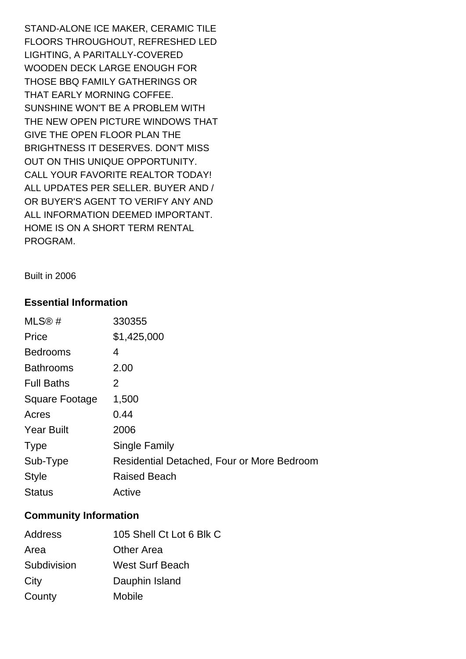STAND-ALONE ICE MAKER, CERAMIC TILE FLOORS THROUGHOUT, REFRESHED LED LIGHTING, A PARITALLY-COVERED WOODEN DECK LARGE ENOUGH FOR THOSE BBQ FAMILY GATHERINGS OR THAT EARLY MORNING COFFEE. SUNSHINE WON'T BE A PROBLEM WITH THE NEW OPEN PICTURE WINDOWS THAT GIVE THE OPEN FLOOR PLAN THE BRIGHTNESS IT DESERVES. DON'T MISS OUT ON THIS UNIQUE OPPORTUNITY. CALL YOUR FAVORITE REALTOR TODAY! ALL UPDATES PER SELLER. BUYER AND / OR BUYER'S AGENT TO VERIFY ANY AND ALL INFORMATION DEEMED IMPORTANT. HOME IS ON A SHORT TERM RENTAL PROGRAM.

Built in 2006

## **Essential Information**

| MLS@#             | 330355                                     |
|-------------------|--------------------------------------------|
| Price             | \$1,425,000                                |
| <b>Bedrooms</b>   | 4                                          |
| <b>Bathrooms</b>  | 2.00                                       |
| <b>Full Baths</b> | 2                                          |
| Square Footage    | 1,500                                      |
| Acres             | 0.44                                       |
| <b>Year Built</b> | 2006                                       |
| <b>Type</b>       | Single Family                              |
| Sub-Type          | Residential Detached, Four or More Bedroom |
| <b>Style</b>      | <b>Raised Beach</b>                        |
| <b>Status</b>     | Active                                     |

## **Community Information**

| Address     | 105 Shell Ct Lot 6 Blk C |
|-------------|--------------------------|
| Area        | <b>Other Area</b>        |
| Subdivision | <b>West Surf Beach</b>   |
| City        | Dauphin Island           |
| County      | <b>Mobile</b>            |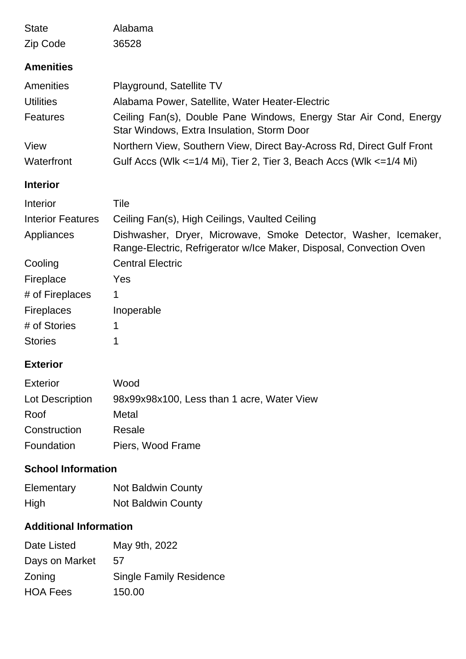| <b>State</b>                  | Alabama                                                                                                                                |
|-------------------------------|----------------------------------------------------------------------------------------------------------------------------------------|
| Zip Code                      | 36528                                                                                                                                  |
| <b>Amenities</b>              |                                                                                                                                        |
| <b>Amenities</b>              | Playground, Satellite TV                                                                                                               |
| <b>Utilities</b>              | Alabama Power, Satellite, Water Heater-Electric                                                                                        |
| <b>Features</b>               | Ceiling Fan(s), Double Pane Windows, Energy Star Air Cond, Energy<br>Star Windows, Extra Insulation, Storm Door                        |
| View                          | Northern View, Southern View, Direct Bay-Across Rd, Direct Gulf Front                                                                  |
| Waterfront                    | Gulf Accs (Wlk $\leq$ 1/4 Mi), Tier 2, Tier 3, Beach Accs (Wlk $\leq$ 1/4 Mi)                                                          |
| <b>Interior</b>               |                                                                                                                                        |
| Interior                      | Tile                                                                                                                                   |
| <b>Interior Features</b>      | Ceiling Fan(s), High Ceilings, Vaulted Ceiling                                                                                         |
| Appliances                    | Dishwasher, Dryer, Microwave, Smoke Detector, Washer, Icemaker,<br>Range-Electric, Refrigerator w/Ice Maker, Disposal, Convection Oven |
| Cooling                       | <b>Central Electric</b>                                                                                                                |
| Fireplace                     | Yes                                                                                                                                    |
| # of Fireplaces               | 1                                                                                                                                      |
| <b>Fireplaces</b>             | Inoperable                                                                                                                             |
| # of Stories                  | 1                                                                                                                                      |
| <b>Stories</b>                | 1                                                                                                                                      |
| <b>Exterior</b>               |                                                                                                                                        |
| <b>Exterior</b>               | Wood                                                                                                                                   |
| Lot Description               | 98x99x98x100, Less than 1 acre, Water View                                                                                             |
| Roof                          | Metal                                                                                                                                  |
| Construction                  | Resale                                                                                                                                 |
| Foundation                    | Piers, Wood Frame                                                                                                                      |
| <b>School Information</b>     |                                                                                                                                        |
| Elementary                    | <b>Not Baldwin County</b>                                                                                                              |
| High                          | <b>Not Baldwin County</b>                                                                                                              |
| <b>Additional Information</b> |                                                                                                                                        |
| Date Listed                   | May 9th, 2022                                                                                                                          |
| Days on Market                | 57                                                                                                                                     |
| Zoning                        | <b>Single Family Residence</b>                                                                                                         |
| <b>HOA Fees</b>               | 150.00                                                                                                                                 |
|                               |                                                                                                                                        |